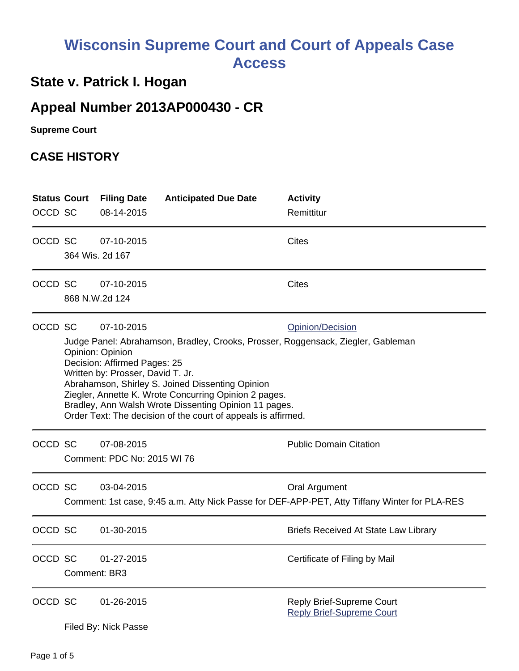# **Wisconsin Supreme Court and Court of Appeals Case Access**

## **State v. Patrick I. Hogan**

## **Appeal Number 2013AP000430 - CR**

**Supreme Court** 

## **CASE HISTORY**

| <b>Status Court</b><br>OCCD SC |                                                                                                                                                                                                                                                                                                                                                                                                                                                           | <b>Filing Date</b><br>08-14-2015          | <b>Anticipated Due Date</b> | <b>Activity</b><br>Remittitur                                                                                  |
|--------------------------------|-----------------------------------------------------------------------------------------------------------------------------------------------------------------------------------------------------------------------------------------------------------------------------------------------------------------------------------------------------------------------------------------------------------------------------------------------------------|-------------------------------------------|-----------------------------|----------------------------------------------------------------------------------------------------------------|
| OCCD SC                        | 364 Wis. 2d 167                                                                                                                                                                                                                                                                                                                                                                                                                                           | 07-10-2015                                |                             | <b>Cites</b>                                                                                                   |
| OCCD SC                        | 868 N.W.2d 124                                                                                                                                                                                                                                                                                                                                                                                                                                            | 07-10-2015                                |                             | <b>Cites</b>                                                                                                   |
| OCCD SC                        | 07-10-2015<br><b>Opinion/Decision</b><br>Judge Panel: Abrahamson, Bradley, Crooks, Prosser, Roggensack, Ziegler, Gableman<br>Opinion: Opinion<br>Decision: Affirmed Pages: 25<br>Written by: Prosser, David T. Jr.<br>Abrahamson, Shirley S. Joined Dissenting Opinion<br>Ziegler, Annette K. Wrote Concurring Opinion 2 pages.<br>Bradley, Ann Walsh Wrote Dissenting Opinion 11 pages.<br>Order Text: The decision of the court of appeals is affirmed. |                                           |                             |                                                                                                                |
| OCCD SC                        |                                                                                                                                                                                                                                                                                                                                                                                                                                                           | 07-08-2015<br>Comment: PDC No: 2015 WI 76 |                             | <b>Public Domain Citation</b>                                                                                  |
| OCCD SC                        |                                                                                                                                                                                                                                                                                                                                                                                                                                                           | 03-04-2015                                |                             | Oral Argument<br>Comment: 1st case, 9:45 a.m. Atty Nick Passe for DEF-APP-PET, Atty Tiffany Winter for PLA-RES |
| OCCD SC                        |                                                                                                                                                                                                                                                                                                                                                                                                                                                           | 01-30-2015                                |                             | Briefs Received At State Law Library                                                                           |
| OCCD SC                        | Comment: BR3                                                                                                                                                                                                                                                                                                                                                                                                                                              | 01-27-2015                                |                             | Certificate of Filing by Mail                                                                                  |
| OCCD SC                        |                                                                                                                                                                                                                                                                                                                                                                                                                                                           | 01-26-2015<br>Filed By: Nick Passe        |                             | Reply Brief-Supreme Court<br><b>Reply Brief-Supreme Court</b>                                                  |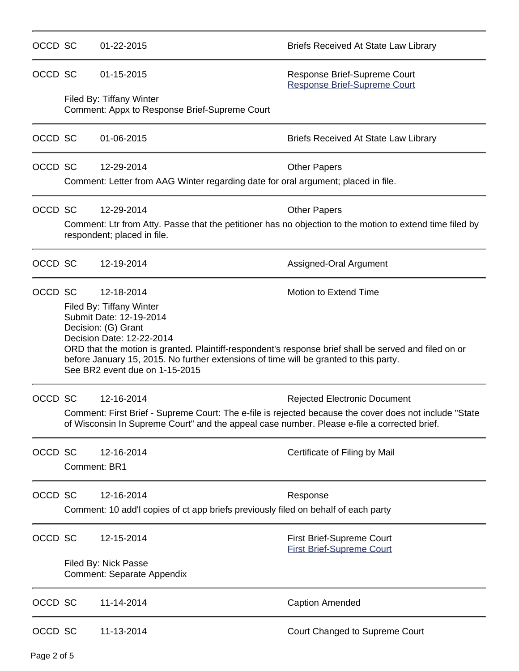| OCCD SC |              | 01-22-2015                                                                                                                                                                                                                                                                                                                                                | <b>Briefs Received At State Law Library</b>                                                                                                   |
|---------|--------------|-----------------------------------------------------------------------------------------------------------------------------------------------------------------------------------------------------------------------------------------------------------------------------------------------------------------------------------------------------------|-----------------------------------------------------------------------------------------------------------------------------------------------|
| OCCD SC |              | 01-15-2015                                                                                                                                                                                                                                                                                                                                                | Response Brief-Supreme Court<br><b>Response Brief-Supreme Court</b>                                                                           |
|         |              | Filed By: Tiffany Winter<br>Comment: Appx to Response Brief-Supreme Court                                                                                                                                                                                                                                                                                 |                                                                                                                                               |
| OCCD SC |              | 01-06-2015                                                                                                                                                                                                                                                                                                                                                | <b>Briefs Received At State Law Library</b>                                                                                                   |
| OCCD SC |              | 12-29-2014<br>Comment: Letter from AAG Winter regarding date for oral argument; placed in file.                                                                                                                                                                                                                                                           | <b>Other Papers</b>                                                                                                                           |
| OCCD SC |              | 12-29-2014                                                                                                                                                                                                                                                                                                                                                | <b>Other Papers</b>                                                                                                                           |
|         |              | respondent; placed in file.                                                                                                                                                                                                                                                                                                                               | Comment: Ltr from Atty. Passe that the petitioner has no objection to the motion to extend time filed by                                      |
| OCCD SC |              | 12-19-2014                                                                                                                                                                                                                                                                                                                                                | Assigned-Oral Argument                                                                                                                        |
| OCCD SC |              | 12-18-2014<br>Filed By: Tiffany Winter<br>Submit Date: 12-19-2014<br>Decision: (G) Grant<br>Decision Date: 12-22-2014<br>ORD that the motion is granted. Plaintiff-respondent's response brief shall be served and filed on or<br>before January 15, 2015. No further extensions of time will be granted to this party.<br>See BR2 event due on 1-15-2015 | Motion to Extend Time                                                                                                                         |
| OCCD SC |              | 12-16-2014<br>of Wisconsin In Supreme Court" and the appeal case number. Please e-file a corrected brief.                                                                                                                                                                                                                                                 | <b>Rejected Electronic Document</b><br>Comment: First Brief - Supreme Court: The e-file is rejected because the cover does not include "State |
| OCCD SC | Comment: BR1 | 12-16-2014                                                                                                                                                                                                                                                                                                                                                | Certificate of Filing by Mail                                                                                                                 |
| OCCD SC |              | 12-16-2014<br>Comment: 10 add'l copies of ct app briefs previously filed on behalf of each party                                                                                                                                                                                                                                                          | Response                                                                                                                                      |
| OCCD SC |              | 12-15-2014                                                                                                                                                                                                                                                                                                                                                | <b>First Brief-Supreme Court</b><br><b>First Brief-Supreme Court</b>                                                                          |
|         |              | Filed By: Nick Passe<br><b>Comment: Separate Appendix</b>                                                                                                                                                                                                                                                                                                 |                                                                                                                                               |
| OCCD SC |              | 11-14-2014                                                                                                                                                                                                                                                                                                                                                | <b>Caption Amended</b>                                                                                                                        |
| OCCD SC |              | 11-13-2014                                                                                                                                                                                                                                                                                                                                                | Court Changed to Supreme Court                                                                                                                |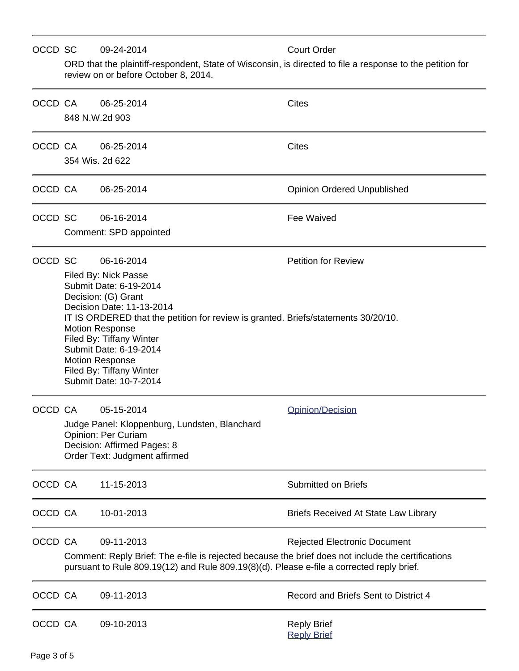### OCCD SC 09-24-2014 Court Order

ORD that the plaintiff-respondent, State of Wisconsin, is directed to file a response to the petition for review on or before October 8, 2014.

| OCCD CA | 848 N.W.2d 903  | 06-25-2014                                                                                                                                                                                                                                                                                                                                                             | <b>Cites</b>                                |
|---------|-----------------|------------------------------------------------------------------------------------------------------------------------------------------------------------------------------------------------------------------------------------------------------------------------------------------------------------------------------------------------------------------------|---------------------------------------------|
| OCCD CA | 354 Wis. 2d 622 | 06-25-2014                                                                                                                                                                                                                                                                                                                                                             | <b>Cites</b>                                |
| OCCD CA |                 | 06-25-2014                                                                                                                                                                                                                                                                                                                                                             | <b>Opinion Ordered Unpublished</b>          |
| OCCD SC |                 | 06-16-2014<br>Comment: SPD appointed                                                                                                                                                                                                                                                                                                                                   | <b>Fee Waived</b>                           |
| OCCD SC |                 | 06-16-2014<br>Filed By: Nick Passe<br>Submit Date: 6-19-2014<br>Decision: (G) Grant<br>Decision Date: 11-13-2014<br>IT IS ORDERED that the petition for review is granted. Briefs/statements 30/20/10.<br><b>Motion Response</b><br>Filed By: Tiffany Winter<br>Submit Date: 6-19-2014<br><b>Motion Response</b><br>Filed By: Tiffany Winter<br>Submit Date: 10-7-2014 | <b>Petition for Review</b>                  |
| OCCD CA |                 | 05-15-2014<br>Judge Panel: Kloppenburg, Lundsten, Blanchard<br><b>Opinion: Per Curiam</b><br>Decision: Affirmed Pages: 8<br>Order Text: Judgment affirmed                                                                                                                                                                                                              | Opinion/Decision                            |
| OCCD CA |                 | 11-15-2013                                                                                                                                                                                                                                                                                                                                                             | <b>Submitted on Briefs</b>                  |
| OCCD CA |                 | 10-01-2013                                                                                                                                                                                                                                                                                                                                                             | <b>Briefs Received At State Law Library</b> |
| OCCD CA |                 | 09-11-2013<br>Comment: Reply Brief: The e-file is rejected because the brief does not include the certifications<br>pursuant to Rule 809.19(12) and Rule 809.19(8)(d). Please e-file a corrected reply brief.                                                                                                                                                          | <b>Rejected Electronic Document</b>         |
| OCCD CA |                 | 09-11-2013                                                                                                                                                                                                                                                                                                                                                             | Record and Briefs Sent to District 4        |
| OCCD CA |                 | 09-10-2013                                                                                                                                                                                                                                                                                                                                                             | <b>Reply Brief</b><br><b>Reply Brief</b>    |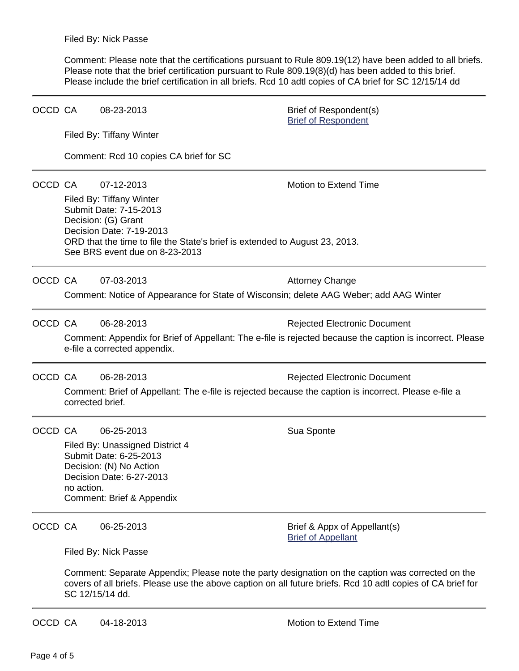Comment: Please note that the certifications pursuant to Rule 809.19(12) have been added to all briefs. Please note that the brief certification pursuant to Rule 809.19(8)(d) has been added to this brief. Please include the brief certification in all briefs. Rcd 10 adtl copies of CA brief for SC 12/15/14 dd

| OCCD CA |                                                                                                                                           | 08-23-2013                                                                                                                                                                                                                          | Brief of Respondent(s)<br><b>Brief of Respondent</b>      |  |  |
|---------|-------------------------------------------------------------------------------------------------------------------------------------------|-------------------------------------------------------------------------------------------------------------------------------------------------------------------------------------------------------------------------------------|-----------------------------------------------------------|--|--|
|         |                                                                                                                                           | Filed By: Tiffany Winter                                                                                                                                                                                                            |                                                           |  |  |
|         |                                                                                                                                           | Comment: Rcd 10 copies CA brief for SC                                                                                                                                                                                              |                                                           |  |  |
| OCCD CA |                                                                                                                                           | 07-12-2013                                                                                                                                                                                                                          | <b>Motion to Extend Time</b>                              |  |  |
|         |                                                                                                                                           | Filed By: Tiffany Winter<br>Submit Date: 7-15-2013<br>Decision: (G) Grant<br>Decision Date: 7-19-2013<br>ORD that the time to file the State's brief is extended to August 23, 2013.<br>See BRS event due on 8-23-2013              |                                                           |  |  |
| OCCD CA |                                                                                                                                           | 07-03-2013                                                                                                                                                                                                                          | <b>Attorney Change</b>                                    |  |  |
|         |                                                                                                                                           | Comment: Notice of Appearance for State of Wisconsin; delete AAG Weber; add AAG Winter                                                                                                                                              |                                                           |  |  |
| OCCD CA |                                                                                                                                           | 06-28-2013                                                                                                                                                                                                                          | <b>Rejected Electronic Document</b>                       |  |  |
|         | Comment: Appendix for Brief of Appellant: The e-file is rejected because the caption is incorrect. Please<br>e-file a corrected appendix. |                                                                                                                                                                                                                                     |                                                           |  |  |
| OCCD CA |                                                                                                                                           | 06-28-2013                                                                                                                                                                                                                          | <b>Rejected Electronic Document</b>                       |  |  |
|         | Comment: Brief of Appellant: The e-file is rejected because the caption is incorrect. Please e-file a<br>corrected brief.                 |                                                                                                                                                                                                                                     |                                                           |  |  |
| OCCD CA |                                                                                                                                           | 06-25-2013                                                                                                                                                                                                                          | Sua Sponte                                                |  |  |
|         | no action.                                                                                                                                | Filed By: Unassigned District 4<br>Submit Date: 6-25-2013<br>Decision: (N) No Action<br>Decision Date: 6-27-2013<br>Comment: Brief & Appendix                                                                                       |                                                           |  |  |
| OCCD CA |                                                                                                                                           | 06-25-2013                                                                                                                                                                                                                          | Brief & Appx of Appellant(s)<br><b>Brief of Appellant</b> |  |  |
|         | Filed By: Nick Passe                                                                                                                      |                                                                                                                                                                                                                                     |                                                           |  |  |
|         |                                                                                                                                           | Comment: Separate Appendix; Please note the party designation on the caption was corrected on the<br>covers of all briefs. Please use the above caption on all future briefs. Rcd 10 adtl copies of CA brief for<br>SC 12/15/14 dd. |                                                           |  |  |
| OCCD CA |                                                                                                                                           | 04-18-2013                                                                                                                                                                                                                          | Motion to Extend Time                                     |  |  |